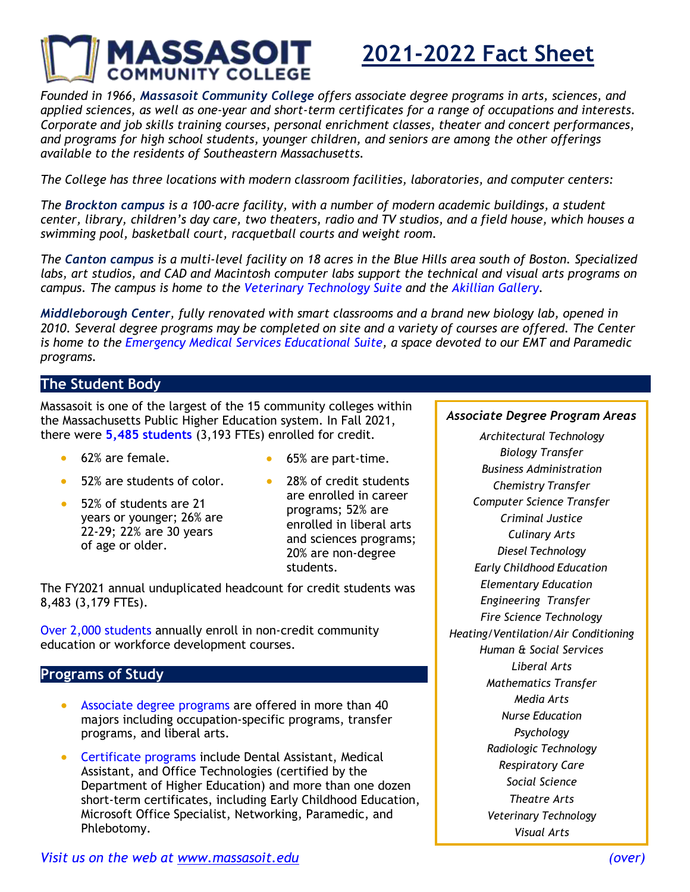

# **2021-2022 Fact Sheet**

*Founded in 1966, Massasoit Community College offers associate degree programs in arts, sciences, and applied sciences, as well as one-year and short-term certificates for a range of occupations and interests. Corporate and job skills training courses, personal enrichment classes, theater and concert performances, and programs for high school students, younger children, and seniors are among the other offerings available to the residents of Southeastern Massachusetts.*

*The College has three locations with modern classroom facilities, laboratories, and computer centers:*

*The Brockton campus is a 100-acre facility, with a number of modern academic buildings, a student* center, library, children's day care, two theaters, radio and TV studios, and a field house, which houses a *swimming pool, basketball court, racquetball courts and weight room.*

*The Canton campus is a multi-level facility on 18 acres in the Blue Hills area south of Boston. Specialized labs, art studios, and CAD and Macintosh computer labs support the technical and visual arts programs on campus. The campus is home to the Veterinary Technology Suite and the Akillian Gallery.*

*Middleborough Center, fully renovated with smart classrooms and a brand new biology lab, opened in* 2010. Several degree programs may be completed on site and a variety of courses are offered. The Center *is home to the Emergency Medical Services Educational Suite, a space devoted to our EMT and Paramedic programs.*

## **The Student Body**

Massasoit is one of the largest of the 15 community colleges within the Massachusetts Public Higher Education system. In Fall 2021, there were **5,485 students** (3,193 FTEs) enrolled for credit.

- 62% are female.
	- 52% are students of color.
- 52% of students are 21 years or younger; 26% are 22-29; 22% are 30 years of age or older.
- 28% of credit students are enrolled in career programs; 52% are enrolled in liberal arts and sciences programs; 20% are non-degree students.

• 65% are part-time.

The FY2021 annual unduplicated headcount for credit students was 8,483 (3,179 FTEs).

Over 2,000 students annually enroll in non-credit community education or workforce development courses.

#### **Programs of Study**

- Associate degree programs are offered in more than 40 majors including occupation-specific programs, transfer programs, and liberal arts.
- Certificate programs include Dental Assistant, Medical Assistant, and Office Technologies (certified by the Department of Higher Education) and more than one dozen short-term certificates, including Early Childhood Education, Microsoft Office Specialist, Networking, Paramedic, and Phlebotomy.

#### *Associate Degree Program Areas*

*Architectural Technology Biology Transfer Business Administration Chemistry Transfer Computer Science Transfer Criminal Justice Culinary Arts Diesel Technology Early Childhood Education Elementary Education Engineering Transfer Fire Science Technology Heating/Ventilation/Air Conditioning Human & Social Services Liberal Arts Mathematics Transfer Media Arts Nurse Education Psychology Radiologic Technology Respiratory Care Social Science Theatre Arts Veterinary Technology Visual Arts*